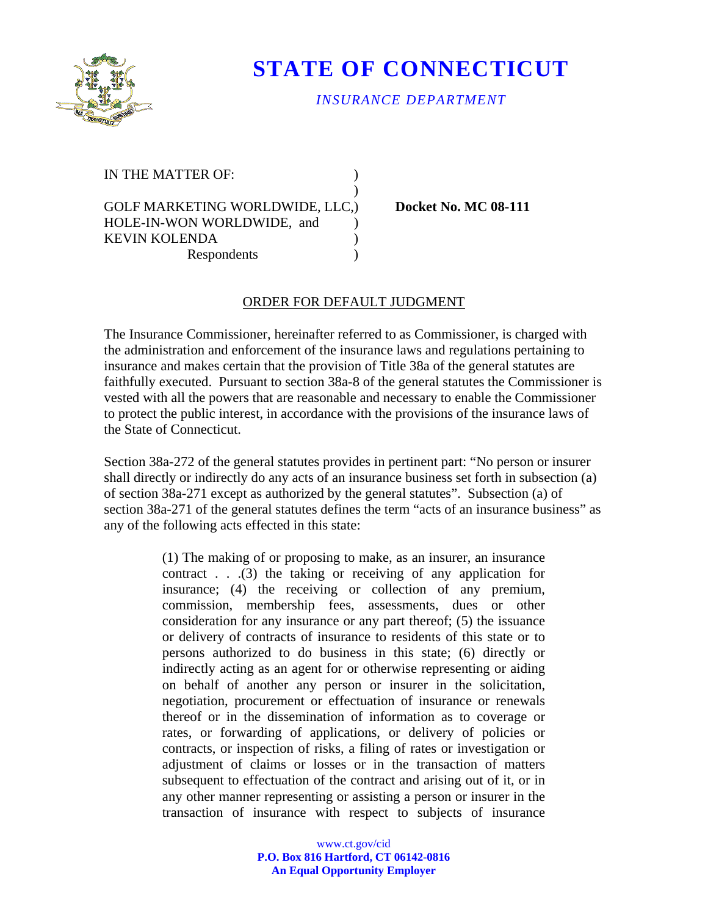

## **STATE OF CONNECTICUT**

## *INSURANCE DEPARTMENT*

IN THE MATTER OF:  $\qquad \qquad$  )

GOLF MARKETING WORLDWIDE, LLC.) Docket No. MC 08-111 HOLE-IN-WON WORLDWIDE, and ) KEVIN KOLENDA (1999) Respondents (a)

 $)$ 

## ORDER FOR DEFAULT JUDGMENT

The Insurance Commissioner, hereinafter referred to as Commissioner, is charged with the administration and enforcement of the insurance laws and regulations pertaining to insurance and makes certain that the provision of Title 38a of the general statutes are faithfully executed. Pursuant to section 38a-8 of the general statutes the Commissioner is vested with all the powers that are reasonable and necessary to enable the Commissioner to protect the public interest, in accordance with the provisions of the insurance laws of the State of Connecticut.

Section 38a-272 of the general statutes provides in pertinent part: "No person or insurer shall directly or indirectly do any acts of an insurance business set forth in subsection (a) of section 38a-271 except as authorized by the general statutes". Subsection (a) of section 38a-271 of the general statutes defines the term "acts of an insurance business" as any of the following acts effected in this state:

> (1) The making of or proposing to make, as an insurer, an insurance contract . . .(3) the taking or receiving of any application for insurance; (4) the receiving or collection of any premium, commission, membership fees, assessments, dues or other consideration for any insurance or any part thereof; (5) the issuance or delivery of contracts of insurance to residents of this state or to persons authorized to do business in this state; (6) directly or indirectly acting as an agent for or otherwise representing or aiding on behalf of another any person or insurer in the solicitation, negotiation, procurement or effectuation of insurance or renewals thereof or in the dissemination of information as to coverage or rates, or forwarding of applications, or delivery of policies or contracts, or inspection of risks, a filing of rates or investigation or adjustment of claims or losses or in the transaction of matters subsequent to effectuation of the contract and arising out of it, or in any other manner representing or assisting a person or insurer in the transaction of insurance with respect to subjects of insurance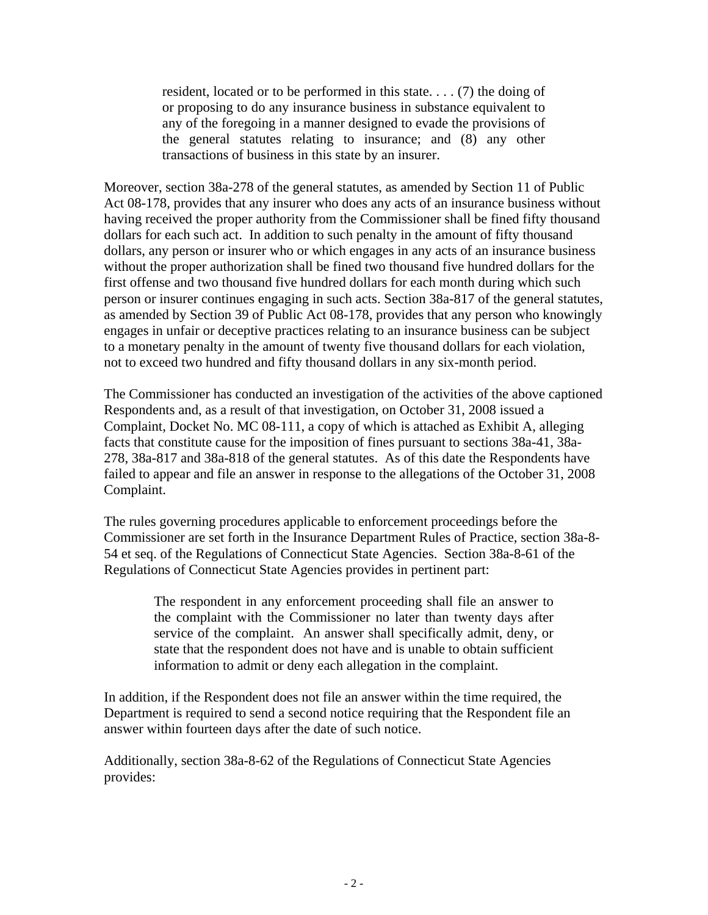resident, located or to be performed in this state. . . . (7) the doing of or proposing to do any insurance business in substance equivalent to any of the foregoing in a manner designed to evade the provisions of the general statutes relating to insurance; and (8) any other transactions of business in this state by an insurer.

Moreover, section 38a-278 of the general statutes, as amended by Section 11 of Public Act 08-178, provides that any insurer who does any acts of an insurance business without having received the proper authority from the Commissioner shall be fined fifty thousand dollars for each such act. In addition to such penalty in the amount of fifty thousand dollars, any person or insurer who or which engages in any acts of an insurance business without the proper authorization shall be fined two thousand five hundred dollars for the first offense and two thousand five hundred dollars for each month during which such person or insurer continues engaging in such acts. Section 38a-817 of the general statutes, as amended by Section 39 of Public Act 08-178, provides that any person who knowingly engages in unfair or deceptive practices relating to an insurance business can be subject to a monetary penalty in the amount of twenty five thousand dollars for each violation, not to exceed two hundred and fifty thousand dollars in any six-month period.

The Commissioner has conducted an investigation of the activities of the above captioned Respondents and, as a result of that investigation, on October 31, 2008 issued a Complaint, Docket No. MC 08-111, a copy of which is attached as Exhibit A, alleging facts that constitute cause for the imposition of fines pursuant to sections 38a-41, 38a-278, 38a-817 and 38a-818 of the general statutes. As of this date the Respondents have failed to appear and file an answer in response to the allegations of the October 31, 2008 Complaint.

The rules governing procedures applicable to enforcement proceedings before the Commissioner are set forth in the Insurance Department Rules of Practice, section 38a-8- 54 et seq. of the Regulations of Connecticut State Agencies. Section 38a-8-61 of the Regulations of Connecticut State Agencies provides in pertinent part:

The respondent in any enforcement proceeding shall file an answer to the complaint with the Commissioner no later than twenty days after service of the complaint. An answer shall specifically admit, deny, or state that the respondent does not have and is unable to obtain sufficient information to admit or deny each allegation in the complaint.

In addition, if the Respondent does not file an answer within the time required, the Department is required to send a second notice requiring that the Respondent file an answer within fourteen days after the date of such notice.

Additionally, section 38a-8-62 of the Regulations of Connecticut State Agencies provides: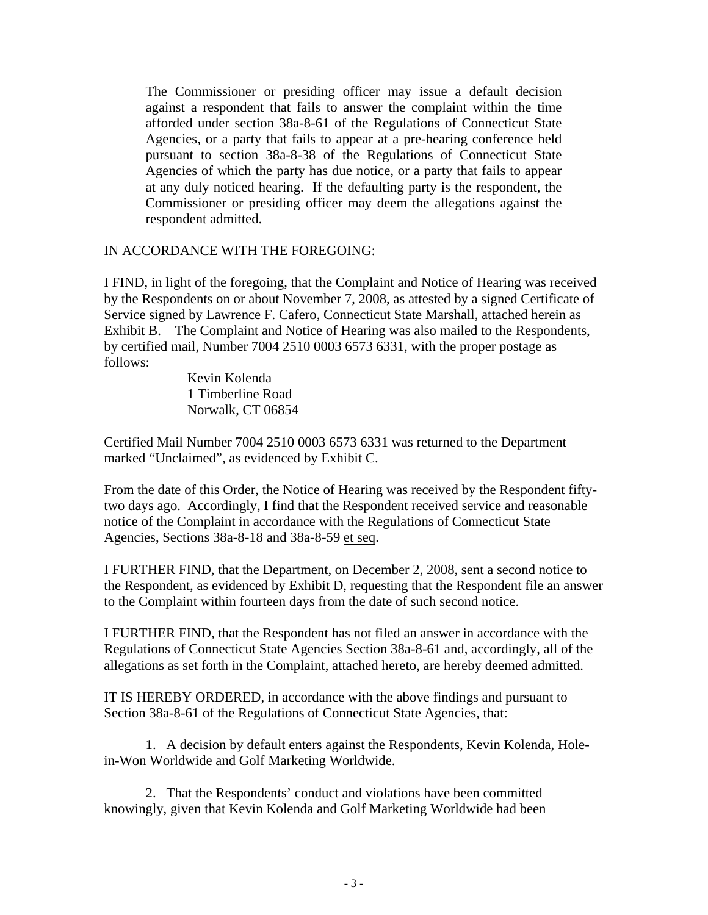The Commissioner or presiding officer may issue a default decision against a respondent that fails to answer the complaint within the time afforded under section 38a-8-61 of the Regulations of Connecticut State Agencies, or a party that fails to appear at a pre-hearing conference held pursuant to section 38a-8-38 of the Regulations of Connecticut State Agencies of which the party has due notice, or a party that fails to appear at any duly noticed hearing. If the defaulting party is the respondent, the Commissioner or presiding officer may deem the allegations against the respondent admitted.

## IN ACCORDANCE WITH THE FOREGOING:

I FIND, in light of the foregoing, that the Complaint and Notice of Hearing was received by the Respondents on or about November 7, 2008, as attested by a signed Certificate of Service signed by Lawrence F. Cafero, Connecticut State Marshall, attached herein as Exhibit B. The Complaint and Notice of Hearing was also mailed to the Respondents, by certified mail, Number 7004 2510 0003 6573 6331, with the proper postage as follows:

> Kevin Kolenda 1 Timberline Road Norwalk, CT 06854

Certified Mail Number 7004 2510 0003 6573 6331 was returned to the Department marked "Unclaimed", as evidenced by Exhibit C.

From the date of this Order, the Notice of Hearing was received by the Respondent fiftytwo days ago. Accordingly, I find that the Respondent received service and reasonable notice of the Complaint in accordance with the Regulations of Connecticut State Agencies, Sections 38a-8-18 and 38a-8-59 et seq.

I FURTHER FIND, that the Department, on December 2, 2008, sent a second notice to the Respondent, as evidenced by Exhibit D, requesting that the Respondent file an answer to the Complaint within fourteen days from the date of such second notice.

I FURTHER FIND, that the Respondent has not filed an answer in accordance with the Regulations of Connecticut State Agencies Section 38a-8-61 and, accordingly, all of the allegations as set forth in the Complaint, attached hereto, are hereby deemed admitted.

IT IS HEREBY ORDERED, in accordance with the above findings and pursuant to Section 38a-8-61 of the Regulations of Connecticut State Agencies, that:

1. A decision by default enters against the Respondents, Kevin Kolenda, Holein-Won Worldwide and Golf Marketing Worldwide.

2. That the Respondents' conduct and violations have been committed knowingly, given that Kevin Kolenda and Golf Marketing Worldwide had been